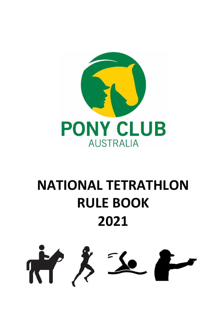

# **NATIONAL TETRATHLON RULE BOOK 2021**

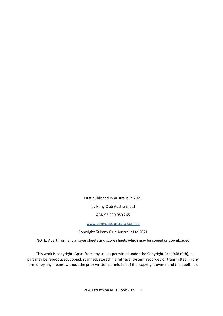First published in Australia in 2021

by Pony Club Australia Ltd

ABN 95 090 080 265

[www.ponyclubaustralia.com.au](http://www.ponyclubaustralia.com.au/)

Copyright © Pony Club Australia Ltd 2021

NOTE: Apart from any answer sheets and score sheets which may be copied or downloaded

This work is copyright. Apart from any use as permitted under the Copyright Act 1968 (Cth), no part may be reproduced, copied, scanned, stored in a retrieval system, recorded or transmitted, in any form or by any means, without the prior written permission of the copyright owner and the publisher.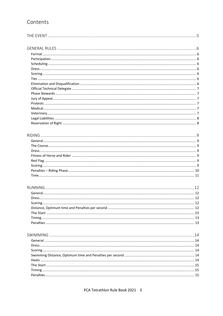# Contents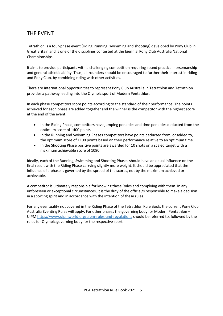# <span id="page-4-0"></span>THE EVENT

Tetrathlon is a four-phase event (riding, running, swimming and shooting) developed by Pony Club in Great Britain and is one of the disciplines contested at the biennial Pony Club Australia National Championships.

It aims to provide participants with a challenging competition requiring sound practical horsemanship and general athletic ability. Thus, all-rounders should be encouraged to further their interest in riding and Pony Club, by combining riding with other activities.

There are international opportunities to represent Pony Club Australia in Tetrathlon and Tetrathlon provides a pathway leading into the Olympic sport of Modern Pentathlon.

In each phase competitors score points according to the standard of their performance. The points achieved for each phase are added together and the winner is the competitor with the highest score at the end of the event.

- In the Riding Phase, competitors have jumping penalties and time penalties deducted from the optimum score of 1400 points.
- In the Running and Swimming Phases competitors have points deducted from, or added to, the optimum score of 1100 points based on their performance relative to an optimum time.
- In the Shooting Phase positive points are awarded for 10 shots on a scaled target with a maximum achievable score of 1090.

Ideally, each of the Running, Swimming and Shooting Phases should have an equal influence on the final result with the Riding Phase carrying slightly more weight. It should be appreciated that the influence of a phase is governed by the spread of the scores, not by the maximum achieved or achievable.

A competitor is ultimately responsible for knowing these Rules and complying with them. In any unforeseen or exceptional circumstances, it is the duty of the official/s responsible to make a decision in a sporting spirit and in accordance with the intention of these rules.

For any eventuality not covered in the Riding Phase of the Tetrathlon Rule Book, the current Pony Club Australia Eventing Rules will apply. For other phases the governing body for Modern Pentathlon – UIP[M https://www.uipmworld.org/uipm-rules-and-regulations](https://www.uipmworld.org/uipm-rules-and-regulations) should be referred to, followed by the rules for Olympic governing body for the respective sport.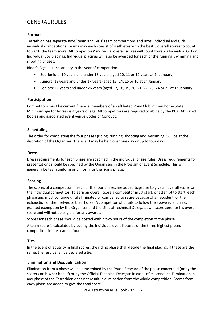# <span id="page-5-0"></span>GENERAL RULES

# <span id="page-5-1"></span>**Format**

Tetrathlon has separate Boys' team and Girls' team competitions and Boys' individual and Girls' individual competitions. Teams may each consist of 4 athletes with the best 3 overall scores to count towards the team score. All competitors' individual overall scores will count towards Individual Girl or Individual Boy placings. Individual placings will also be awarded for each of the running, swimming and shooting phases.

Rider's Age – at 1st January in the year of competition.

- Sub-juniors: 10 years and under 13 years (aged 10, 11 or 12 years at 1st January)
- Juniors: 13 years and under 17 years (aged 13, 14, 15 or 16 at 1<sup>st</sup> January)
- Seniors: 17 years and under 26 years (aged 17, 18, 19, 20, 21, 22, 23, 24 or 25 at 1<sup>st</sup> January)

# <span id="page-5-2"></span>**Participation**

Competitors must be current financial members of an affiliated Pony Club in their home State. Minimum age for horses is 4 years of age. All competitors are required to abide by the PCA, Affiliated Bodies and associated event venue Codes of Conduct.

# <span id="page-5-3"></span>**Scheduling**

The order for completing the four phases (riding, running, shooting and swimming) will be at the discretion of the Organiser. The event may be held over one day or up to four days.

# <span id="page-5-4"></span>**Dress**

Dress requirements for each phase are specified in the individual phase rules. Dress requirements for presentations should be specified by the Organisers in the Program or Event Schedule. This will generally be team uniform or uniform for the riding phase.

# <span id="page-5-5"></span>**Scoring**

The scores of a competitor in each of the four phases are added together to give an overall score for the individual competitor. To earn an overall score a competitor must start, or attempt to start, each phase and must continue until eliminated or compelled to retire because of an accident, or the exhaustion of themselves or their horse. A competitor who fails to follow the above rule, unless granted exemption by the Organiser and the Official Technical Delegate, will score zero for his overall score and will not be eligible for any awards.

Scores for each phase should be posted within two hours of the completion of the phase.

A team score is calculated by adding the individual overall scores of the three highest placed competitors in the team of four.

# <span id="page-5-6"></span>**Ties**

In the event of equality in final scores, the riding phase shall decide the final placing. If these are the same, the result shall be declared a tie.

# <span id="page-5-7"></span>**Elimination and Disqualification**

Elimination from a phase will be determined by the Phase Steward of the phase concerned (or by the scorers on his/her behalf) or by the Official Technical Delegate in cases of misconduct. Elimination in any phase of the Tetrathlon does not result in elimination from the whole competition. Scores from each phase are added to give the total score.

PCA Tetrathlon Rule Book 2021 6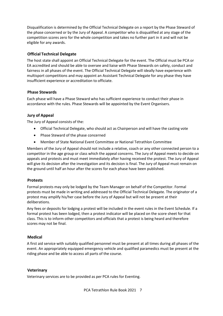Disqualification is determined by the Official Technical Delegate on a report by the Phase Steward of the phase concerned or by the Jury of Appeal. A competitor who is disqualified at any stage of the competition scores zero for the whole competition and takes no further part in it and will not be eligible for any awards.

# <span id="page-6-0"></span>**Official Technical Delegate**

The host state shall appoint an Official Technical Delegate for the event. The Official must be PCA or EA accredited and should be able to oversee and liaise with Phase Stewards on safety, conduct and fairness in all phases of the event. The Official Technical Delegate will ideally have experience with multisport competitions and may appoint an Assistant Technical Delegate for any phase they have insufficient experience or accreditation to officiate.

# <span id="page-6-1"></span>**Phase Stewards**

Each phase will have a Phase Steward who has sufficient experience to conduct their phase in accordance with the rules. Phase Stewards will be appointed by the Event Organisers.

# <span id="page-6-2"></span>**Jury of Appeal**

The Jury of Appeal consists of the:

- Official Technical Delegate, who should act as Chairperson and will have the casting vote
- Phase Steward of the phase concerned
- Member of State National Event Committee or National Tetrathlon Committee

Members of the Jury of Appeal should not include a relative, coach or any other connected person to a competitor in the age group or class which the appeal concerns. The Jury of Appeal meets to decide on appeals and protests and must meet immediately after having received the protest. The Jury of Appeal will give its decision after the investigation and its decision is final. The Jury of Appeal must remain on the ground until half an hour after the scores for each phase have been published.

# <span id="page-6-3"></span>**Protests**

Formal protests may only be lodged by the Team Manager on behalf of the Competitor. Formal protests must be made in writing and addressed to the Official Technical Delegate. The originator of a protest may amplify his/her case before the Jury of Appeal but will not be present at their deliberations.

Any fees or deposits for lodging a protest will be included in the event rules in the Event Schedule. If a formal protest has been lodged, then a protest indicator will be placed on the score sheet for that class. This is to inform other competitors and officials that a protest is being heard and therefore scores may not be final.

# <span id="page-6-4"></span>**Medical**

A first aid service with suitably qualified personnel must be present at all times during all phases of the event. An appropriately equipped emergency vehicle and qualified paramedics must be present at the riding phase and be able to access all parts of the course.

# <span id="page-6-5"></span>**Veterinary**

Veterinary services are to be provided as per PCA rules for Eventing.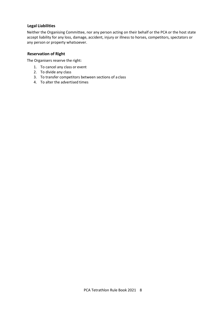# <span id="page-7-0"></span>**Legal Liabilities**

Neither the Organising Committee, nor any person acting on their behalf or the PCA or the host state accept liability for any loss, damage, accident, injury or illness to horses, competitors, spectators or any person or property whatsoever.

# <span id="page-7-1"></span>**Reservation of Right**

The Organisers reserve the right:

- 1. To cancel any class or event
- 2. To divide any class
- 3. To transfer competitors between sections of a class
- 4. To alter the advertised times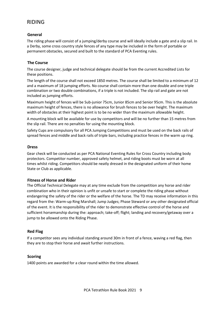# <span id="page-8-0"></span>RIDING

# <span id="page-8-1"></span>**General**

The riding phase will consist of a jumping/derby course and will ideally include a gate and a slip rail. In a Derby, some cross country style fences of any type may be included in the form of portable or permanent obstacles, secured and built to the standard of PCA Eventing rules.

# <span id="page-8-2"></span>**The Course**

The course designer, judge and technical delegate should be from the current Accredited Lists for these positions.

The length of the course shall not exceed 1850 metres. The course shall be limited to a minimum of 12 and a maximum of 18 jumping efforts. No course shall contain more than one double and one triple combination or two double combinations, if a triple is not included. The slip rail and gate are not included as jumping efforts.

Maximum height of fences will be Sub-junior 75cm, Junior 85cm and Senior 95cm. This is the absolute maximum height of fences, there is no allowance for brush fences to be over height. The maximum width of obstacles at their highest point is to be no wider than the maximum allowable height.

A mounting block will be available for use by competitors and will be no further than 15 metres from the slip rail. There are no penalties for using the mounting block.

Safety Cups are compulsory for all PCA Jumping Competitions and must be used on the back rails of spread fences and middle and back rails of triple bars, including practice fences in the warm up ring.

#### <span id="page-8-3"></span>**Dress**

Gear check will be conducted as per PCA National Eventing Rules for Cross Country including body protectors. Competitor number, approved safety helmet, and riding boots must be worn at all times whilst riding. Competitors should be neatly dressed in the designated uniform of their home State or Club as applicable.

# <span id="page-8-4"></span>**Fitness of Horse and Rider**

The Official Technical Delegate may at any time exclude from the competition any horse and rider combination who in their opinion is unfit or unsafe to start or complete the riding phase without endangering the safety of the rider or the welfare of the horse. The TD may receive information in this regard from the: Warm-up Ring Marshall; Jump Judges; Phase Steward or any other designated official of the event. It is the responsibility of the rider to demonstrate effective control of the horse and sufficient horsemanship during the: approach; take-off; flight; landing and recovery/getaway over a jump to be allowed onto the Riding Phase.

# <span id="page-8-5"></span>**Red Flag**

If a competitor sees any individual standing around 30m in front of a fence, waving a red flag, then they are to stop their horse and await further instructions.

# <span id="page-8-6"></span>**Scoring**

1400 points are awarded for a clear round within the time allowed.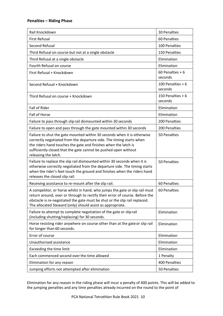# <span id="page-9-0"></span>**Penalties – Riding Phase**

| Rail Knockdown                                                                                                                                                                                                                                                                                                | <b>30 Penalties</b>           |
|---------------------------------------------------------------------------------------------------------------------------------------------------------------------------------------------------------------------------------------------------------------------------------------------------------------|-------------------------------|
| <b>First Refusal</b>                                                                                                                                                                                                                                                                                          | 60 Penalties                  |
| Second Refusal                                                                                                                                                                                                                                                                                                | 100 Penalties                 |
| Third Refusal on course but not at a single obstacle                                                                                                                                                                                                                                                          | 150 Penalties                 |
| Third Refusal at a single obstacle                                                                                                                                                                                                                                                                            | Elimination                   |
| Fourth Refusal on course                                                                                                                                                                                                                                                                                      | Elimination                   |
| First Refusal + Knockdown                                                                                                                                                                                                                                                                                     | 60 Penalties $+6$<br>seconds  |
| Second Refusal + Knockdown                                                                                                                                                                                                                                                                                    | 100 Penalties $+6$<br>seconds |
| Third Refusal on course + Knockdown                                                                                                                                                                                                                                                                           | 150 Penalties + 6<br>seconds  |
| <b>Fall of Rider</b>                                                                                                                                                                                                                                                                                          | Elimination                   |
| Fall of Horse                                                                                                                                                                                                                                                                                                 | Elimination                   |
| Failure to pass through slip rail dismounted within 30 seconds                                                                                                                                                                                                                                                | 200 Penalties                 |
| Failure to open and pass through the gate mounted within 30 seconds                                                                                                                                                                                                                                           | 200 Penalties                 |
| Failure to shut the gate mounted within 30 seconds when it is otherwise<br>correctly negotiated from the departure side. The timing starts when<br>the riders hand touches the gate and finishes when the latch is<br>sufficiently closed that the gate cannot be pushed open without<br>releasing the latch. | 50 Penalties                  |
| Failure to replace the slip rail dismounted within 30 seconds when it is<br>otherwise correctly negotiated from the departure side. The timing starts<br>when the rider's feet touch the ground and finishes when the riders hand<br>releases the closed slip rail.                                           | 50 Penalties                  |
| Receiving assistance to re-mount after the slip rail.                                                                                                                                                                                                                                                         | 60 Penalties                  |
| A competitor, or horse whilst in hand, who jumps the gate or slip rail must<br>return around, over or through to rectify their error of course. Before the<br>obstacle is re-negotiated the gate must be shut or the slip rail replaced.<br>The allocated Steward (only) should assist as appropriate.        | 60 Penalties                  |
| Failure to attempt to complete negotiation of the gate or slip rail<br>(including shutting/replacing) for 30 seconds.                                                                                                                                                                                         | Elimination                   |
| Horse resisting rider anywhere on course other than at the gate or slip rail<br>for longer than 60 seconds.                                                                                                                                                                                                   | Elimination                   |
| Error of course                                                                                                                                                                                                                                                                                               | Elimination                   |
| Unauthorised assistance                                                                                                                                                                                                                                                                                       | Elimination                   |
| Exceeding the time limit                                                                                                                                                                                                                                                                                      | Elimination                   |
| Each commenced second over the time allowed                                                                                                                                                                                                                                                                   | 1 Penalty                     |
| Elimination for any reason                                                                                                                                                                                                                                                                                    | 400 Penalties                 |
| Jumping efforts not attempted after elimination                                                                                                                                                                                                                                                               | 50 Penalties                  |

Elimination for any reason in the riding phase will incur a penalty of 400 points. This will be added to the jumping penalties and any time penalties already incurred on the round to the point of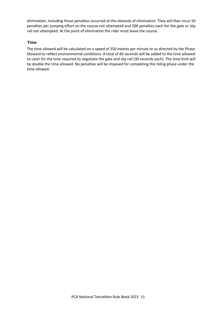elimination, including those penalties occurred at the obstacle of elimination. They will then incur 50 penalties per jumping effort on the course not attempted and 200 penalties each for the gate or slip rail not attempted. At the point of elimination the rider must leave the course.

# <span id="page-10-0"></span>**Time**

The time allowed will be calculated on a speed of 350 metres per minute or as directed by the Phase Steward to reflect environmental conditions. A total of 60 seconds will be added to the time allowed to cater for the time required to negotiate the gate and slip rail (30 seconds each). The time limit will be double the time allowed. No penalties will be imposed for completing the riding phase under the time allowed.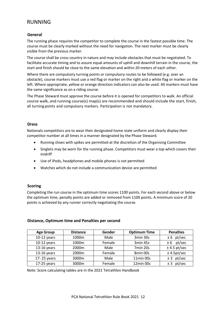# <span id="page-11-0"></span>RUNNING

#### <span id="page-11-1"></span>**General**

The running phase requires the competitor to complete the course in the fastest possible time. The course must be clearly marked without the need for navigation. The next marker must be clearly visible from the previous marker.

The course shall be cross country in nature and may include obstacles that must be negotiated. To facilitate accurate timing and to assure equal amounts of uphill and downhill terrain in the course, the start and finish should be close to the same elevation and within 20 meters of each other.

Where there are compulsory turning points or compulsory routes to be followed (e.g. over an obstacle), course markers must use a red flag or marker on the right and a white flag or marker on the left. Where appropriate, yellow or orange direction indicators can also be used. All markers must have the same significance as on a riding course.

The Phase Steward must approve the course before it is opened for competitors to walk. An official course walk, and running course(s) map(s) are recommended and should include the start, finish, all turning points and compulsory markers. Participation is not mandatory.

#### <span id="page-11-2"></span>**Dress**

Nationals competitors are to wear their designated home state uniform and clearly display their competitor number at all times in a manner designated by the Phase Steward.

- Running shoes with spikes are permitted at the discretion of the Organising Committee
- Singlets may be worn for the running phase. Competitors must wear a top which covers their midriff
- Use of iPods, headphones and mobile phones is not permitted
- Watches which do not include a communication device are permitted

#### <span id="page-11-3"></span>**Scoring**

Completing the run course in the optimum time scores 1100 points. For each second above or below the optimum time, penalty points are added or removed from 1100 points. A minimum score of 20 points is achieved by any runner correctly negotiating the course.

| <b>Age Group</b> | <b>Distance</b> | Gender | <b>Optimum Time</b> | <b>Penalties</b> |
|------------------|-----------------|--------|---------------------|------------------|
| $10-12$ years    | 1000m           | Male   | 3min 30s            | $± 6$ pt/sec     |
| $10-12$ years    | 1000m           | Female | 3min 45s            | pt/sec<br>± 6    |
| $13-16$ years    | 2000m           | Male   | 7min 20s            | $±$ 4.5 pt/sec   |
| $13-16$ years    | 2000m           | Female | 8min 00s            | $±$ 4.5pt/sec    |
| 17-25 years      | 3000m           | Male   | 11min 00s           | $± 3$ pt/sec     |
| $17-25$ years    | 3000m           | Female | 12min 00s           | pt/sec<br>± 3    |

#### <span id="page-11-4"></span>**Distance, Optimum time and Penalties per second**

Note: Score calculating tables are in the 2021 Tetrathlon Handbook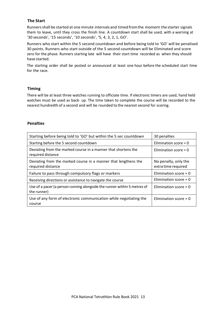# <span id="page-12-0"></span>**The Start**

Runnersshall be started at one minute intervals and timed fromthe moment the starter signals them to leave, until they cross the finish line. A countdown start shall be used, with a warning at '30 seconds', '15 seconds', '10 seconds', '5, 4, 3, 2, 1, GO'.

Runners who start within the 5 second countdown and before being told to 'GO' will be penalised 30 points. Runners who start outside of the 5 second countdown will be Eliminated and score zero for the phase. Runners starting late will have their start time recorded as when they should have started.

The starting order shall be posted or announced at least one hour before the scheduled start time for the race.

# <span id="page-12-1"></span>**Timing**

There will be at least three watches running to officiate time. If electronic timers are used, hand held watches must be used as back- up. The time taken to complete the course will be recorded to the nearest hundredth of a second and will be rounded to the nearest second for scoring.

#### <span id="page-12-2"></span>**Penalties**

| Starting before being told to 'GO' but within the 5 sec countdown                       | 30 penalties                                |
|-----------------------------------------------------------------------------------------|---------------------------------------------|
| Starting before the 5 second countdown                                                  | Elimination score = $0$                     |
| Deviating from the marked course in a manner that shortens the<br>required distance     | Elimination score = $0$                     |
| Deviating from the marked course in a manner that lengthens the<br>required distance    | No penalty, only the<br>extra time required |
| Failure to pass through compulsory flags or markers                                     | Elimination score = $0$                     |
| Receiving directions or assistance to navigate the course                               | Elimination score = $0$                     |
| Use of a pacer (a person running alongside the runner within 5 metres of<br>the runner) | Elimination score = $0$                     |
| Use of any form of electronic communication while negotiating the<br>course             | Elimination score = $0$                     |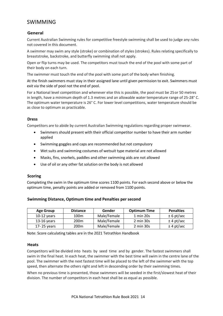# <span id="page-13-0"></span>SWIMMING

# <span id="page-13-1"></span>**General**

Current Australian Swimming rules for competitive freestyle swimming shall be used to judge any rules not covered in this document.

A swimmer may swim any style (stroke) or combination of styles(strokes). Rules relating specifically to breaststroke, backstroke, and butterfly swimming shall not apply.

Open or flip turns may be used. The competitors must touch the end of the pool with some part of their body on each turn.

The swimmer must touch the end of the pool with some part of the body when finishing.

At the finish swimmers must stay in their assigned lane until given permission to exit. Swimmers must exit via the side of pool not the end of pool.

For a National level competition and whenever else this is possible, the pool must be 25or 50 metres in length, have a minimum depth of 1.3 metres and an allowable water temperature range of 25-28° C. The optimum water temperature is 26° C. For lower level competitions, water temperature should be as close to optimum as practicable.

#### <span id="page-13-2"></span>**Dress**

Competitors are to abide by current Australian Swimming regulations regarding proper swimwear.

- Swimmers should present with their official competitor number to have their arm number applied
- Swimming goggles and caps are recommended but not compulsory
- Wet suits and swimming costumes of wetsuit type material are not allowed
- Masks, fins, snorkels, paddles and other swimming aids are not allowed
- Use of oil or any other fat solution on the body is not allowed

#### <span id="page-13-3"></span>**Scoring**

Completing the swim in the optimum time scores 1100 points. For each second above or below the optimum time, penalty points are added or removed from 1100 points.

| <b>Age Group</b> | <b>Distance</b> | Gender      | <b>Optimum Time</b> | <b>Penalties</b> |
|------------------|-----------------|-------------|---------------------|------------------|
| $10-12$ years    | 100m            | Male/Female | 1 min 20s           | $± 6$ pt/sec     |
| $13-16$ years    | 200m            | Male/Female | 2 min 30s           | $±$ 4 pt/sec     |
| 17-25 years      | 200m            | Male/Female | 2 min 30s           | $±$ 4 pt/sec     |

#### <span id="page-13-4"></span>**Swimming Distance, Optimum time and Penalties per second**

Note: Score calculating tables are in the 2021 Tetrathlon Handbook

#### <span id="page-13-5"></span>**Heats**

Competitors will be divided into heats by seed time and by gender. The fastest swimmers shall swim in the final heat. In each heat, the swimmer with the best time will swim in the centre lane of the pool. The swimmer with the next fastest time will be placed to the left of the swimmer with the top speed, then alternate the others right and left in descending order by their swimming times.

When no previous time is presented, those swimmers will be seeded in the first/slowest heat of their division. The number of competitors in each heat shall be as equal as possible.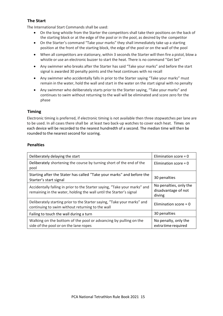# <span id="page-14-0"></span>**The Start**

The International Start Commands shall be used:

- On the long whistle from the Starter the competitors shall take their positions on the back of the starting block or at the edge of the pool or in the pool, as desired by the competitor
- On the Starter's command "Take your marks" they shall immediately take up a starting position at the front of the starting block, the edge of the pool or on the wall of the pool
- When all competitors are stationary, within 3 seconds the Starter will then fire a pistol, blow a whistle or use an electronic buzzer to start the heat. There is no command "Get Set"
- Any swimmer who breaks after the Starter has said "Take your marks" and before the start signal is awarded 30 penalty points and the heat continues with no recall
- Any swimmer who accidentally falls in prior to the Starter saying "Take your marks" must remain in the water, hold the wall and start in the water on the start signal with no penalty
- Any swimmer who deliberately starts prior to the Starter saying, "Take your marks" and continues to swim without returning to the wall will be eliminated and score zero for the phase

# <span id="page-14-1"></span>**Timing**

Electronic timing is preferred, if electronic timing is not available then three stopwatches per lane are to be used. In all cases there shall be at least two back-up watches to cover each heat. Times on each device will be recorded to the nearest hundredth of a second. The median time will then be rounded to the nearest second for scoring.

# <span id="page-14-2"></span>**Penalties**

| Deliberately delaying the start                                                                                                                   | Elimination score = $0$                                 |
|---------------------------------------------------------------------------------------------------------------------------------------------------|---------------------------------------------------------|
| Deliberately shortening the course by turning short of the end of the<br>pool                                                                     | Elimination score = $0$                                 |
| Starting after the Stater has called "Take your marks" and before the<br>Starter's start signal                                                   | 30 penalties                                            |
| Accidentally falling in prior to the Starter saying, "Take your marks" and<br>remaining in the water, holding the wall until the Starter's signal | No penalties, only the<br>disadvantage of not<br>diving |
| Deliberately starting prior to the Starter saying, "Take your marks" and<br>continuing to swim without returning to the wall                      | Elimination score = $0$                                 |
| Failing to touch the wall during a turn                                                                                                           | 30 penalties                                            |
| Walking on the bottom of the pool or advancing by pulling on the<br>side of the pool or on the lane ropes                                         | No penalty, only the<br>extra time required             |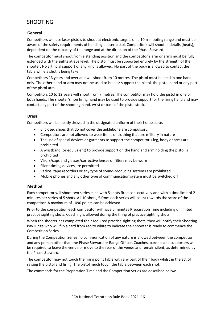# <span id="page-15-0"></span>SHOOTING

# <span id="page-15-1"></span>**General**

Competitors will use laser pistols to shoot at electronic targets on a 10m shooting range and must be aware of the safety requirements of handling a laser pistol. Competitors will shoot in details (heats), dependent on the capacity of the range and at the direction of the Phase Steward.

The competitor must shoot from a standing position and the competitor's arm or arms must be fully extended with the sights at eye level. The pistol must be supported entirely by the strength of the shooter. No artificial support of any kind is allowed. No part of the body is allowed to contact the table while a shot is being taken.

Competitors 13 years and over and will shoot from 10 metres. The pistol must be held in one hand only. The other hand or arm may not be used to hold or support the pistol, the pistol hand or any part of the pistol arm.

Competitors 10 to 12 years will shoot from 7 metres. The competitor may hold the pistol in one or both hands. The shooter's non firing hand may be used to provide support for the firing hand and may contact any part of the shooting hand, wrist or base of the pistol stock.

# <span id="page-15-2"></span>**Dress**

Competitors will be neatly dressed in the designated uniform of their home state.

- Enclosed shoes that do not cover the anklebone are compulsory.
- Competitors are not allowed to wear items of clothing that are military in nature
- The use of special devices or garments to support the competitor's leg, body or arms are prohibited
- A wristband (or equivalent) to provide support on the hand and arm holding the pistol is prohibited
- Visors/caps and glasses/corrective lenses or filters may be worn
- Silent timing devices are permitted
- Radios, tape recorders or any type of sound-producing systems are prohibited
- Mobile phones and any other type of communication system must be switched off

# <span id="page-15-3"></span>**Method**

Each competitor will shoot two series each with 5 shots fired consecutively and with a time limit of 2 minutes per series of 5 shots. All 10 shots, 5 from each series will count towards the score of the competitor. A maximum of 1090 points can be achieved.

Prior to the competition each competitor will have 5 minutes Preparation Time including unlimited practice sighting shots. Coaching is allowed during the firing of practice sighting shots.

When the shooter has completed their required practice sighting shots, they will notify their Shooting Bay Judge who will flip a card from red to white to indicate their shooter is ready to commence the Competition Series.

During the Competition Series no communication of any nature is allowed between the competitor and any person other than the Phase Steward or Range Officer. Coaches, parents and supporters will be required to leave the venue or move to the rear of the venue and remain silent, as determined by the Phase Steward.

The competitor may not touch the firing point table with any part of their body whilst in the act of raising the pistol and firing. The pistol much touch the table between each shot.

The commands for the Preparation Time and the Competition Series are described below.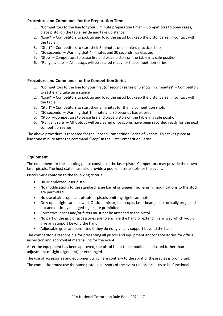# <span id="page-16-0"></span>**Procedure and Commands for the Preparation Time**

- 1. "Competitors to the line for your 5 minute preparation time" Competitors to open cases, place pistol on the table, settle and take up stance
- 2. "Load" Competitors to pick up and load the pistol but keep the pistol barrel in contact with the table
- 3. "Start" Competitors to start their 5 minutes of unlimited practice shots
- 4. "30 seconds" Warning that 4 minutes and 30 seconds has elapsed
- 5. "Stop" Competitors to cease fire and place pistols on the table in a safe position
- 6. "Range is safe" All laptops will be cleared ready for the competition series

# <span id="page-16-1"></span>**Procedure and Commands for the Competition Series**

- 1. "Competitors to the line for your first (or second) series of 5 shots in 2 minutes" Competitors to settle and take up a stance
- 2. "Load" Competitors to pick up and load the pistol but keep the pistol barrel in contact with the table
- 3. "Start" Competitors to start their 2 minutes for their 5 competition shots
- 4. "30 seconds" Warning that 1 minute and 30 seconds has elapsed
- 5. "Stop" Competitors to cease fire and place pistols on the table in a safe position
- 6. "Range is safe" All laptops will be cleared once scores have been recorded ready for the next competition series

The above procedure is repeated for the Second Competition Series of 5 shots. This takes place at least one minute after the command "Stop" in the First Competition Series.

#### <span id="page-16-2"></span>**Equipment**

The equipment for the shooting phase consists of the laser pistol. Competitors may provide their own laser pistols. The host state must also provide a pool of laser pistols for the event.

Pistols must conform to the following criteria:

- UIPM endorsed laser pistol
- No modifications to the standard issue barrel or trigger mechanism, modifications to the stock are permitted
- No use of air propellant pistols or pistols emitting significant noise
- Only open sights are allowed. Optical, mirror, telescopic, laser beam, electronically projected dot and optically enlarged sights are prohibited
- Corrective lenses and/or filters must not be attached to the pistol
- No part of the grip or accessories are to encircle the hand or extend in any way which would give any support beyond the hand
- Adjustable grips are permitted if they do not give any support beyond the hand

The competitor is responsible for presenting all pistols and equipment and/or accessories for official inspection and approval at marshalling for the event.

After the equipment has been approved, the pistol is not to be modified, adjusted (other than adjustment of sight alignment) or exchanged.

The use of accessories and equipment which are contrary to the spirit of these rules is prohibited.

The competitor must use the same pistol in all shots of the event unless it ceases to be functional.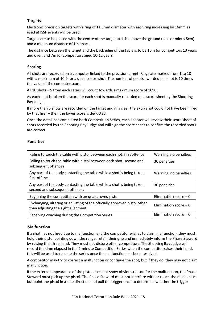# <span id="page-17-0"></span>**Targets**

Electronic precision targets with a ring of 11.5mm diameter with each ring increasing by 16mm as used at ISSF events will be used.

Targets are to be placed with the centre of the target at 1.4m above the ground (plus or minus 5cm) and a minimum distance of 1m apart.

The distance between the target and the back edge of the table is to be 10m for competitors 13 years and over, and 7m for competitors aged 10-12 years.

#### <span id="page-17-1"></span>**Scoring**

All shots are recorded on a computer linked to the precision target. Rings are marked from 1 to 10 with a maximum of 10.9 for a dead centre shot. The number of points awarded per shot is 10 times the value of the computer score.

All 10 shots – 5 from each series will count towards a maximum score of 1090.

As each shot is taken the score for each shot is manually recorded on a score sheet by the Shooting Bay Judge.

If more than 5 shots are recorded on the target and it is clear the extra shot could not have been fired by that firer – then the lower score is deducted.

Once the detail has completed both Competition Series, each shooter will review their score sheet of shots recorded by the Shooting Bay Judge and will sign the score sheet to confirm the recorded shots are correct.

# <span id="page-17-2"></span>**Penalties**

| Failing to touch the table with pistol between each shot, first offence                                         | Warning, no penalties   |
|-----------------------------------------------------------------------------------------------------------------|-------------------------|
| Failing to touch the table with pistol between each shot, second and<br>subsequent offences                     | 30 penalties            |
| Any part of the body contacting the table while a shot is being taken,<br>first offence                         | Warning, no penalties   |
| Any part of the body contacting the table while a shot is being taken,<br>second and subsequent offences        | 30 penalties            |
| Beginning the competition with an unapproved pistol                                                             | Elimination score = $0$ |
| Exchanging, altering or adjusting of the officially approved pistol other<br>than adjusting the sight alignment | Elimination score = $0$ |
| Receiving coaching during the Competition Series                                                                | Elimination score = $0$ |

#### <span id="page-17-3"></span>**Malfunction**

If a shot has not fired due to malfunction and the competitor wishes to claim malfunction, they must hold their pistol pointing down the range, retain their grip and immediately inform the Phase Steward by raising their free hand. They must not disturb other competitors. The Shooting Bay Judge will record the time elapsed in the 2-minute Competition Series when the competitor raises their hand, this will be used to resume the series once the malfunction has been resolved.

A competitor may try to correct a malfunction or continue the shot, but if they do, they may not claim malfunction.

If the external appearance of the pistol does not show obvious reason for the malfunction, the Phase Steward must pick up the pistol. The Phase Steward must not interfere with or touch the mechanism but point the pistol in a safe direction and pull the trigger once to determine whether the trigger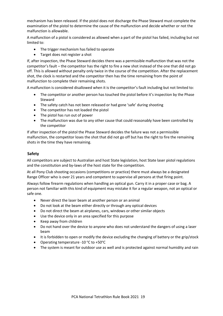mechanism has been released. If the pistol does not discharge the Phase Steward must complete the examination of the pistol to determine the cause of the malfunction and decide whether or not the malfunction is allowable.

A malfunction of a pistol is considered as allowed when a part of the pistol has failed, including but not limited to:

- The trigger mechanism has failed to operate
- Target does not register a shot

If, after inspection, the Phase Steward decides there was a permissible malfunction that was not the competitor's fault – the competitor has the right to fire a new shot instead of the one that did not go off. This is allowed without penalty only twice in the course of the competition. After the replacement shot, the clock is restarted and the competitor then has the time remaining from the point of malfunction to complete their remaining shots.

A malfunction is considered disallowed when it is the competitor's fault including but not limited to:

- The competitor or another person has touched the pistol before it's inspection by the Phase Steward
- The safety catch has not been released or had gone 'safe' during shooting
- The competitor has not loaded the pistol
- The pistol has run out of power
- The malfunction was due to any other cause that could reasonably have been controlled by the competitor

If after inspection of the pistol the Phase Steward decides the failure was not a permissible malfunction, the competitor loses the shot that did not go off but has the right to fire the remaining shots in the time they have remaining.

# <span id="page-18-0"></span>**Safety**

All competitors are subject to Australian and host State legislation, host State laser pistol regulations and the constitution and by-laws of the host state for the competition.

At all Pony Club shooting occasions (competitions or practice) there must always be a designated Range Officer who is over 21 years and competent to supervise all persons at that firing point.

Always follow firearm regulations when handling an optical gun. Carry it in a proper case or bag. A person not familiar with this kind of equipment may mistake it for a regular weapon, not an optical or safe one.

- Never direct the laser beam at another person or an animal
- Do not look at the beam either directly or through any optical devices
- Do not direct the beam at airplanes, cars, windows or other similar objects
- Use the device only in an area specified for this purpose
- Keep away from children
- Do not hand over the device to anyone who does not understand the dangers of using a laser beam
- It is forbidden to open or modify the device excluding the changing of battery or the grip/stock
- Operating temperature -10  $\degree$ C to +50 $\degree$ C
- The system is meant for outdoor use as well and is protected against normal humidity and rain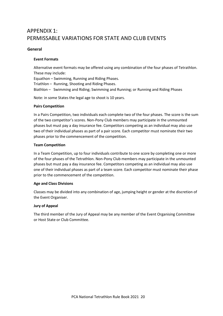# <span id="page-19-0"></span>APPENDIX 1: PERMISSABLE VARIATIONS FOR STATE AND CLUB EVENTS

#### <span id="page-19-1"></span>**General**

#### **Event Formats**

Alternative event formats may be offered using any combination of the four phases of Tetrathlon. These may include:

Equathon – Swimming, Running and Riding Phases.

Triathlon – Running, Shooting and Riding Phases.

Biathlon – Swimming and Riding; Swimming and Running; or Running and Riding Phases

Note: in some States the legal age to shoot is 10 years.

#### **Pairs Competition**

In a Pairs Competition, two individuals each complete two of the four phases. The score is the sum of the two competitor's scores. Non-Pony Club members may participate in the unmounted phases but must pay a day insurance fee. Competitors competing as an individual may also use two of their individual phases as part of a pair score. Each competitor must nominate their two phases prior to the commencement of the competition.

#### **Team Competition**

In a Team Competition, up to four individuals contribute to one score by completing one or more of the four phases of the Tetrathlon. Non-Pony Club members may participate in the unmounted phases but must pay a day insurance fee. Competitors competing as an individual may also use one of their individual phases as part of a team score. Each competitor must nominate their phase prior to the commencement of the competition.

#### **Age and Class Divisions**

Classes may be divided into any combination of age, jumping height or gender at the discretion of the Event Organiser.

#### **Jury of Appeal**

The third member of the Jury of Appeal may be any member of the Event Organising Committee or Host State or Club Committee.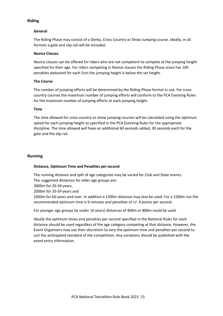#### <span id="page-20-0"></span>**Riding**

#### **General**

The Riding Phase may consist of a Derby, Cross Country or Show Jumping course. Ideally, in all formats a gate and slip rail will be included.

#### **Novice Classes**

Novice classes can be offered for riders who are not competent to compete at the jumping height specified for their age. For riders competing in Novice classes the Riding Phase score has 100 penalties deducted for each 5cm the jumping height is below the set height.

#### **The Course**

The number of jumping efforts will be determined by the Riding Phase format in use. For cross country courses the maximum number of jumping efforts will conform to the PCA Eventing Rules for the maximum number of jumping efforts at each jumping height.

#### **Time**

The time allowed for cross country or show jumping courses will be calculated using the optimum speed for each jumping height as specified in the PCA Eventing Rules for the appropriate discipline. The time allowed will have an additional 60 seconds added, 30 seconds each for the gate and the slip rail.

#### <span id="page-20-1"></span>**Running**

#### **Distance, Optimum Time and Penalties per second**

The running distance and split of age categories may be varied for Club and State events.

The suggested distances for older age groups are:

3000m for 26-34 years,

2000m for 35-59 years and

1000m for 60 years and over. In addition a 1500m distance may also be used. For a 1500m run the recommended optimum time is 6 minutes and penalties of +/- 4 points per second.

For younger age groups (ie under 10 years) distances of 400m or 800m could be used.

Ideally the optimum times and penalties per second specified in the National Rules for each distance should be used regardless of the age category competing at that distance. However, the Event Organisers may use their discretion to vary the optimum time and penalties per second to suit the anticipated standard of the competition. Any variations should be published with the event entry information.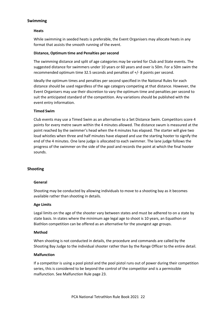# <span id="page-21-0"></span>**Swimming**

#### **Heats**

While swimming in seeded heats is preferable, the Event Organisers may allocate heats in any format that assists the smooth running of the event.

#### **Distance, Optimum time and Penalties persecond**

The swimming distance and split of age categories may be varied for Club and State events. The suggested distance for swimmers under 10 years or 60 years and over is 50m. For a 50m swim the recommended optimum time 32.5 seconds and penalties of +/- 8 points per second.

Ideally the optimum times and penalties per second specified in the National Rules for each distance should be used regardless of the age category competing at that distance. However, the Event Organisers may use their discretion to vary the optimum time and penalties per second to suit the anticipated standard of the competition. Any variations should be published with the event entry information.

#### **Timed Swim**

Club events may use a Timed Swim as an alternative to a Set Distance Swim. Competitors score 4 points for every metre swum within the 4 minutes allowed. The distance swum is measured at the point reached by the swimmer's head when the 4 minutes has elapsed. The starter will give two loud whistles when three and half minutes have elapsed and use the starting hooter to signify the end of the 4 minutes. One lane judge is allocated to each swimmer. The lane judge follows the progress of the swimmer on the side of the pool and records the point at which the final hooter sounds.

# <span id="page-21-1"></span>**Shooting**

#### **General**

Shooting may be conducted by allowing individuals to move to a shooting bay as it becomes available rather than shooting in details.

#### **Age Limits**

Legal limits on the age of the shooter vary between states and must be adhered to on a state by state basis. In states where the minimum age legal age to shoot is 10 years, an Equathon or Biathlon competition can be offered as an alternative for the youngest age groups.

#### **Method**

When shooting is not conducted in details, the procedure and commands are called by the Shooting Bay Judge to the individual shooter rather than by the Range Officer to the entire detail.

#### **Malfunction**

If a competitor is using a pool pistol and the pool pistol runs out of power during their competition series, this is considered to be beyond the control of the competitor and is a permissible malfunction. See Malfunction Rule page 23.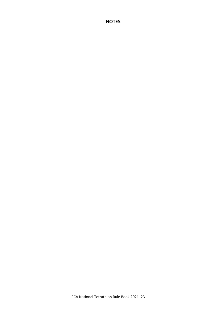# **NOTES**